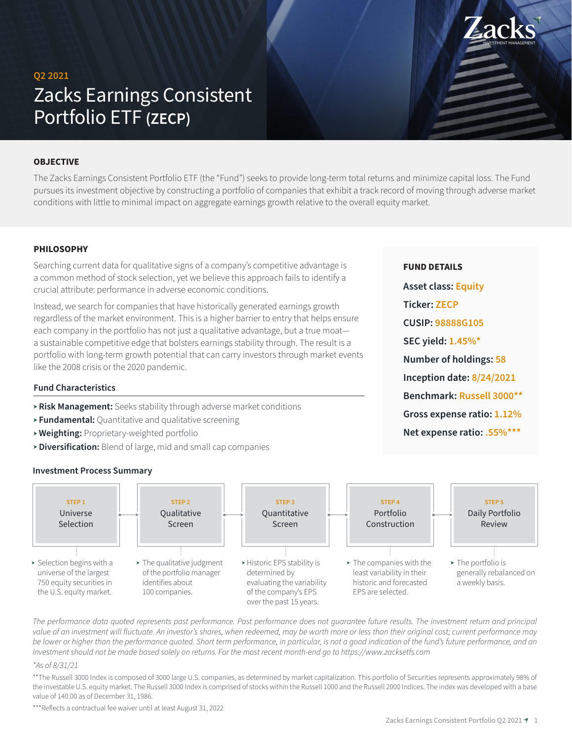# **Q2 2021** Zacks Earnings Consistent Portfolio ETF **(ZECP)**

#### **OBJECTIVE**

The Zacks Earnings Consistent Portfolio ETF (the "Fund") seeks to provide long-term total returns and minimize capital loss. The Fund pursues its investment objective by constructing a portfolio of companies that exhibit a track record of moving through adverse market conditions with little to minimal impact on aggregate earnings growth relative to the overall equity market.

#### **PHILOSOPHY**

Searching current data for qualitative signs of a company's competitive advantage is a common method of stock selection, yet we believe this approach fails to identify a crucial attribute: performance in adverse economic conditions.

Instead, we search for companies that have historically generated earnings growth regardless of the market environment. This is a higher barrier to entry that helps ensure each company in the portfolio has not just a qualitative advantage, but a true moata sustainable competitive edge that bolsters earnings stability through. The result is a portfolio with long-term growth potential that can carry investors through market events like the 2008 crisis or the 2020 pandemic.

# **Fund Characteristics**

- **Risk Management:** Seeks stability through adverse market conditions
- **Fundamental:** Quantitative and qualitative screening
- **Weighting:** Proprietary-weighted portfolio
- **Diversification:** Blend of large, mid and small cap companies

**Investment Process Summary**



The performance data quoted represents past performance. Past performance does not quarantee future results. The investment return and principal value of an investment will fluctuate. An investor's shares, when redeemed, may be worth more or less than their original cost; current performance may *be lower or higher than the performance quoted. Short term performance, in particular, is not a good indication of the fund's future performance, and an investment should not be made based solely on returns. For the most recent month-end go to https://www.zacksetfs.com*

#### *\*As of 8/31/21*

\*\*The Russell 3000 Index is composed of 3000 large U.S. companies, as determined by market capitalization. This portfolio of Securities represents approximately 98% of the investable U.S. equity market. The Russell 3000 Index is comprised of stocks within the Russell 1000 and the Russell 2000 Indices. The index was developed with a base value of 140.00 as of December 31, 1986.

\*\*\*Reflects a contractual fee waiver until at least August 31, 2022

**Asset class: Equity**

**CUSIP: 98888G105**

**SEC yield: 1.45%\***

**Number of holdings: 58**

**Inception date: 8/24/2021 Benchmark: Russell 3000\*\***

**Gross expense ratio: 1.12% Net expense ratio: .55%\*\*\***

**Ticker: ZECP**

**FUND DETAILS**

INVESTMENT MANAGEMENT